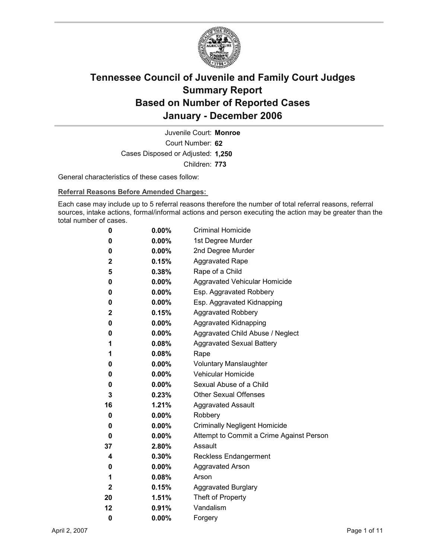

Court Number: **62** Juvenile Court: **Monroe** Cases Disposed or Adjusted: **1,250** Children: **773**

General characteristics of these cases follow:

**Referral Reasons Before Amended Charges:** 

Each case may include up to 5 referral reasons therefore the number of total referral reasons, referral sources, intake actions, formal/informal actions and person executing the action may be greater than the total number of cases.

| 0            | $0.00\%$ | <b>Criminal Homicide</b>                 |
|--------------|----------|------------------------------------------|
| 0            | $0.00\%$ | 1st Degree Murder                        |
| 0            | $0.00\%$ | 2nd Degree Murder                        |
| 2            | 0.15%    | <b>Aggravated Rape</b>                   |
| 5            | $0.38\%$ | Rape of a Child                          |
| 0            | $0.00\%$ | Aggravated Vehicular Homicide            |
| 0            | $0.00\%$ | Esp. Aggravated Robbery                  |
| 0            | $0.00\%$ | Esp. Aggravated Kidnapping               |
| $\mathbf{2}$ | 0.15%    | <b>Aggravated Robbery</b>                |
| 0            | $0.00\%$ | <b>Aggravated Kidnapping</b>             |
| 0            | $0.00\%$ | Aggravated Child Abuse / Neglect         |
| 1            | $0.08\%$ | <b>Aggravated Sexual Battery</b>         |
| 1            | $0.08\%$ | Rape                                     |
| 0            | $0.00\%$ | <b>Voluntary Manslaughter</b>            |
| 0            | $0.00\%$ | Vehicular Homicide                       |
| 0            | $0.00\%$ | Sexual Abuse of a Child                  |
| 3            | $0.23\%$ | <b>Other Sexual Offenses</b>             |
| 16           | $1.21\%$ | <b>Aggravated Assault</b>                |
| 0            | $0.00\%$ | Robbery                                  |
| 0            | $0.00\%$ | <b>Criminally Negligent Homicide</b>     |
| 0            | $0.00\%$ | Attempt to Commit a Crime Against Person |
| 37           | $2.80\%$ | Assault                                  |
| 4            | $0.30\%$ | <b>Reckless Endangerment</b>             |
| 0            | $0.00\%$ | <b>Aggravated Arson</b>                  |
| 1            | $0.08\%$ | Arson                                    |
| 2            | 0.15%    | <b>Aggravated Burglary</b>               |
| 20           | 1.51%    | Theft of Property                        |
| 12           | $0.91\%$ | Vandalism                                |
| 0            | 0.00%    | Forgery                                  |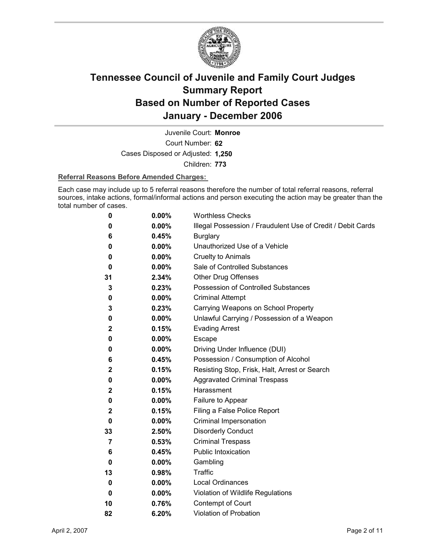

Court Number: **62** Juvenile Court: **Monroe** Cases Disposed or Adjusted: **1,250** Children: **773**

### **Referral Reasons Before Amended Charges:**

Each case may include up to 5 referral reasons therefore the number of total referral reasons, referral sources, intake actions, formal/informal actions and person executing the action may be greater than the total number of cases.

| 0           | 0.00%    | <b>Worthless Checks</b>                                     |
|-------------|----------|-------------------------------------------------------------|
| 0           | 0.00%    | Illegal Possession / Fraudulent Use of Credit / Debit Cards |
| 6           | 0.45%    | <b>Burglary</b>                                             |
| 0           | $0.00\%$ | Unauthorized Use of a Vehicle                               |
| 0           | $0.00\%$ | <b>Cruelty to Animals</b>                                   |
| 0           | $0.00\%$ | Sale of Controlled Substances                               |
| 31          | 2.34%    | <b>Other Drug Offenses</b>                                  |
| 3           | 0.23%    | Possession of Controlled Substances                         |
| 0           | 0.00%    | <b>Criminal Attempt</b>                                     |
| 3           | 0.23%    | Carrying Weapons on School Property                         |
| 0           | 0.00%    | Unlawful Carrying / Possession of a Weapon                  |
| 2           | 0.15%    | <b>Evading Arrest</b>                                       |
| 0           | $0.00\%$ | <b>Escape</b>                                               |
| 0           | 0.00%    | Driving Under Influence (DUI)                               |
| 6           | 0.45%    | Possession / Consumption of Alcohol                         |
| 2           | 0.15%    | Resisting Stop, Frisk, Halt, Arrest or Search               |
| 0           | 0.00%    | <b>Aggravated Criminal Trespass</b>                         |
| $\mathbf 2$ | 0.15%    | Harassment                                                  |
| 0           | 0.00%    | Failure to Appear                                           |
| $\mathbf 2$ | 0.15%    | Filing a False Police Report                                |
| 0           | 0.00%    | Criminal Impersonation                                      |
| 33          | 2.50%    | <b>Disorderly Conduct</b>                                   |
| 7           | 0.53%    | <b>Criminal Trespass</b>                                    |
| 6           | 0.45%    | <b>Public Intoxication</b>                                  |
| 0           | $0.00\%$ | Gambling                                                    |
| 13          | 0.98%    | Traffic                                                     |
| 0           | 0.00%    | <b>Local Ordinances</b>                                     |
| 0           | $0.00\%$ | Violation of Wildlife Regulations                           |
| 10          | 0.76%    | Contempt of Court                                           |
| 82          | 6.20%    | Violation of Probation                                      |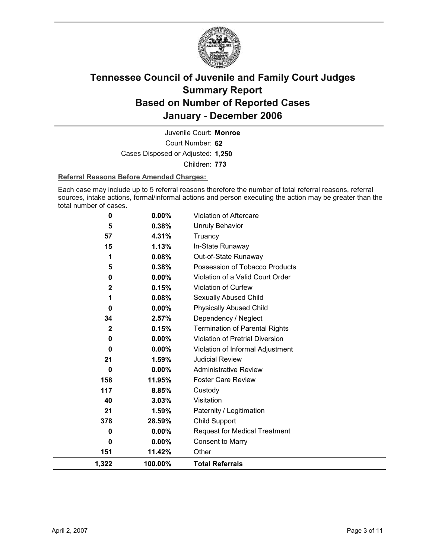

Court Number: **62** Juvenile Court: **Monroe** Cases Disposed or Adjusted: **1,250** Children: **773**

### **Referral Reasons Before Amended Charges:**

Each case may include up to 5 referral reasons therefore the number of total referral reasons, referral sources, intake actions, formal/informal actions and person executing the action may be greater than the total number of cases.

| 0           | 0.00%    | Violation of Aftercare                 |
|-------------|----------|----------------------------------------|
| 5           | 0.38%    | Unruly Behavior                        |
| 57          | 4.31%    | Truancy                                |
| 15          | 1.13%    | In-State Runaway                       |
| 1           | 0.08%    | Out-of-State Runaway                   |
| 5           | 0.38%    | Possession of Tobacco Products         |
| 0           | $0.00\%$ | Violation of a Valid Court Order       |
| $\mathbf 2$ | 0.15%    | Violation of Curfew                    |
|             | 0.08%    | Sexually Abused Child                  |
| 0           | $0.00\%$ | <b>Physically Abused Child</b>         |
| 34          | 2.57%    | Dependency / Neglect                   |
| $\mathbf 2$ | 0.15%    | <b>Termination of Parental Rights</b>  |
| 0           | 0.00%    | <b>Violation of Pretrial Diversion</b> |
| 0           | 0.00%    | Violation of Informal Adjustment       |
| 21          | 1.59%    | <b>Judicial Review</b>                 |
| 0           | 0.00%    | <b>Administrative Review</b>           |
| 158         | 11.95%   | <b>Foster Care Review</b>              |
| 117         | 8.85%    | Custody                                |
| 40          | 3.03%    | Visitation                             |
| 21          | 1.59%    | Paternity / Legitimation               |
| 378         | 28.59%   | Child Support                          |
| 0           | $0.00\%$ | <b>Request for Medical Treatment</b>   |
| 0           | $0.00\%$ | <b>Consent to Marry</b>                |
| 151         | 11.42%   | Other                                  |
| 1,322       | 100.00%  | <b>Total Referrals</b>                 |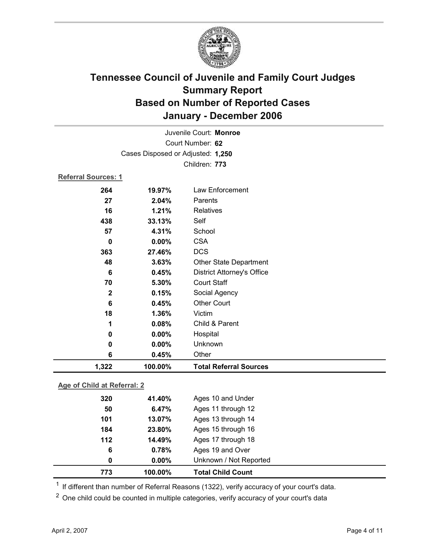

| Juvenile Court: Monroe      |                                   |                                   |  |  |  |
|-----------------------------|-----------------------------------|-----------------------------------|--|--|--|
| Court Number: 62            |                                   |                                   |  |  |  |
|                             | Cases Disposed or Adjusted: 1,250 |                                   |  |  |  |
|                             |                                   | Children: 773                     |  |  |  |
|                             | Referral Sources: 1               |                                   |  |  |  |
| 264                         | 19.97%                            | Law Enforcement                   |  |  |  |
| 27                          | 2.04%                             | Parents                           |  |  |  |
| 16                          | 1.21%                             | Relatives                         |  |  |  |
| 438                         | 33.13%                            | Self                              |  |  |  |
| 57                          | 4.31%                             | School                            |  |  |  |
| 0                           | $0.00\%$                          | <b>CSA</b>                        |  |  |  |
| 363                         | 27.46%                            | <b>DCS</b>                        |  |  |  |
| 48                          | 3.63%                             | Other State Department            |  |  |  |
| 6                           | 0.45%                             | <b>District Attorney's Office</b> |  |  |  |
| 70                          | 5.30%                             | <b>Court Staff</b>                |  |  |  |
| $\mathbf 2$                 | 0.15%                             | Social Agency                     |  |  |  |
| 6                           | 0.45%                             | <b>Other Court</b>                |  |  |  |
| 18                          | 1.36%                             | Victim                            |  |  |  |
| 1                           | 0.08%                             | Child & Parent                    |  |  |  |
| $\pmb{0}$                   | 0.00%                             | Hospital                          |  |  |  |
| 0                           | 0.00%                             | Unknown                           |  |  |  |
| 6                           | 0.45%                             | Other                             |  |  |  |
| 1,322                       | 100.00%                           | <b>Total Referral Sources</b>     |  |  |  |
| Age of Child at Referral: 2 |                                   |                                   |  |  |  |
|                             |                                   |                                   |  |  |  |
| 320                         | 41.40%                            | Ages 10 and Under                 |  |  |  |

| 773   | 100.00%  | <b>Total Child Count</b> |  |
|-------|----------|--------------------------|--|
| 0     | $0.00\%$ | Unknown / Not Reported   |  |
| 6     | 0.78%    | Ages 19 and Over         |  |
| $112$ | 14.49%   | Ages 17 through 18       |  |
| 184   | 23.80%   | Ages 15 through 16       |  |
| 101   | 13.07%   | Ages 13 through 14       |  |
| 50    | 6.47%    | Ages 11 through 12       |  |
| 320   | 41.40%   | Ages TO and Under        |  |

 $1$  If different than number of Referral Reasons (1322), verify accuracy of your court's data.

<sup>2</sup> One child could be counted in multiple categories, verify accuracy of your court's data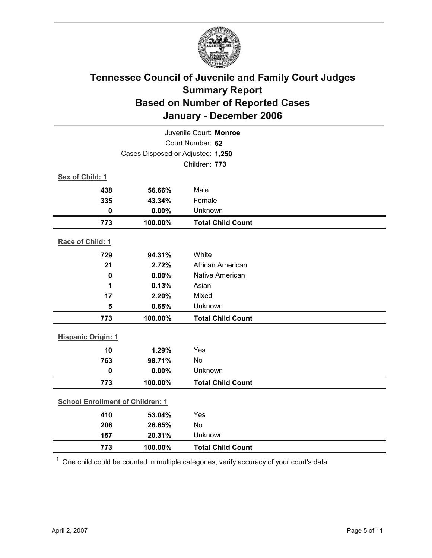

| Juvenile Court: Monroe            |                                         |                          |  |
|-----------------------------------|-----------------------------------------|--------------------------|--|
| Court Number: 62                  |                                         |                          |  |
| Cases Disposed or Adjusted: 1,250 |                                         |                          |  |
|                                   |                                         | Children: 773            |  |
| Sex of Child: 1                   |                                         |                          |  |
| 438                               | 56.66%                                  | Male                     |  |
| 335                               | 43.34%                                  | Female                   |  |
| $\mathbf 0$                       | 0.00%                                   | Unknown                  |  |
| 773                               | 100.00%                                 | <b>Total Child Count</b> |  |
| Race of Child: 1                  |                                         |                          |  |
| 729                               | 94.31%                                  | White                    |  |
| 21                                | 2.72%                                   | African American         |  |
| $\mathbf 0$                       | 0.00%                                   | <b>Native American</b>   |  |
| 1                                 | 0.13%                                   | Asian                    |  |
| 17                                | 2.20%                                   | Mixed                    |  |
| 5                                 | 0.65%                                   | Unknown                  |  |
| 773                               | 100.00%                                 | <b>Total Child Count</b> |  |
| <b>Hispanic Origin: 1</b>         |                                         |                          |  |
| 10                                | 1.29%                                   | Yes                      |  |
| 763                               | 98.71%                                  | <b>No</b>                |  |
| $\mathbf 0$                       | 0.00%                                   | Unknown                  |  |
| 773                               | 100.00%                                 | <b>Total Child Count</b> |  |
|                                   | <b>School Enrollment of Children: 1</b> |                          |  |
| 410                               | 53.04%                                  | Yes                      |  |
| 206                               | 26.65%                                  | No                       |  |
| 157                               | 20.31%                                  | Unknown                  |  |
| 773                               | 100.00%                                 | <b>Total Child Count</b> |  |

 $1$  One child could be counted in multiple categories, verify accuracy of your court's data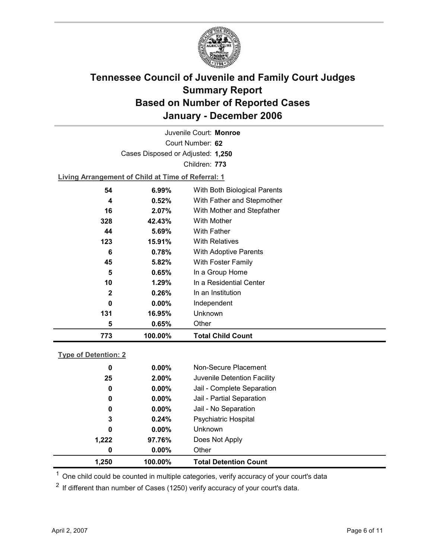

Court Number: **62** Juvenile Court: **Monroe** Cases Disposed or Adjusted: **1,250** Children: **773**

**Living Arrangement of Child at Time of Referral: 1**

| 773          | 100.00%  | <b>Total Child Count</b>     |
|--------------|----------|------------------------------|
| 5            | 0.65%    | Other                        |
| 131          | 16.95%   | Unknown                      |
| 0            | $0.00\%$ | Independent                  |
| $\mathbf{2}$ | 0.26%    | In an Institution            |
| 10           | $1.29\%$ | In a Residential Center      |
| 5            | 0.65%    | In a Group Home              |
| 45           | 5.82%    | With Foster Family           |
| 6            | 0.78%    | With Adoptive Parents        |
| 123          | 15.91%   | <b>With Relatives</b>        |
| 44           | 5.69%    | <b>With Father</b>           |
| 328          | 42.43%   | With Mother                  |
| 16           | 2.07%    | With Mother and Stepfather   |
| 4            | 0.52%    | With Father and Stepmother   |
| 54           | 6.99%    | With Both Biological Parents |
|              |          |                              |

### **Type of Detention: 2**

| 1,250 | 100.00%  | <b>Total Detention Count</b> |  |
|-------|----------|------------------------------|--|
| 0     | $0.00\%$ | Other                        |  |
| 1,222 | 97.76%   | Does Not Apply               |  |
| 0     | $0.00\%$ | Unknown                      |  |
| 3     | 0.24%    | <b>Psychiatric Hospital</b>  |  |
| 0     | $0.00\%$ | Jail - No Separation         |  |
| 0     | $0.00\%$ | Jail - Partial Separation    |  |
| 0     | $0.00\%$ | Jail - Complete Separation   |  |
| 25    | 2.00%    | Juvenile Detention Facility  |  |
| 0     | $0.00\%$ | Non-Secure Placement         |  |
|       |          |                              |  |

 $<sup>1</sup>$  One child could be counted in multiple categories, verify accuracy of your court's data</sup>

 $2$  If different than number of Cases (1250) verify accuracy of your court's data.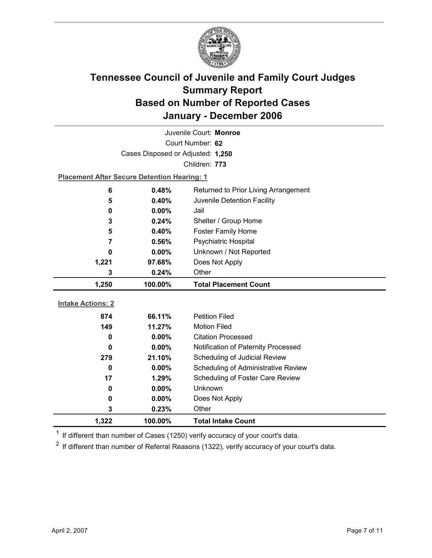

| Juvenile Court: Monroe   |                                                    |                                            |  |
|--------------------------|----------------------------------------------------|--------------------------------------------|--|
| Court Number: 62         |                                                    |                                            |  |
|                          | Cases Disposed or Adjusted: 1,250                  |                                            |  |
|                          |                                                    | Children: 773                              |  |
|                          | <b>Placement After Secure Detention Hearing: 1</b> |                                            |  |
| 6                        | 0.48%                                              | Returned to Prior Living Arrangement       |  |
| 5                        | 0.40%                                              | Juvenile Detention Facility                |  |
| 0                        | 0.00%                                              | Jail                                       |  |
| 3                        | 0.24%                                              | Shelter / Group Home                       |  |
| 5                        | 0.40%                                              | <b>Foster Family Home</b>                  |  |
| 7                        | 0.56%                                              | Psychiatric Hospital                       |  |
| $\bf{0}$                 | $0.00\%$                                           | Unknown / Not Reported                     |  |
| 1,221                    | 97.68%                                             | Does Not Apply                             |  |
| 3                        | 0.24%                                              | Other                                      |  |
| 1,250                    | 100.00%                                            | <b>Total Placement Count</b>               |  |
|                          |                                                    |                                            |  |
|                          |                                                    |                                            |  |
| <b>Intake Actions: 2</b> |                                                    |                                            |  |
| 874                      | 66.11%                                             | <b>Petition Filed</b>                      |  |
| 149                      | 11.27%                                             | <b>Motion Filed</b>                        |  |
| 0                        | $0.00\%$                                           | <b>Citation Processed</b>                  |  |
| 0                        | 0.00%                                              | Notification of Paternity Processed        |  |
| 279                      | 21.10%                                             | Scheduling of Judicial Review              |  |
| $\bf{0}$                 | $0.00\%$                                           | <b>Scheduling of Administrative Review</b> |  |
| 17                       | 1.29%                                              | Scheduling of Foster Care Review           |  |
| 0                        | 0.00%                                              | <b>Unknown</b>                             |  |
| 0                        | 0.00%                                              | Does Not Apply                             |  |
| 3<br>1,322               | 0.23%<br>100.00%                                   | Other                                      |  |

 $1$  If different than number of Cases (1250) verify accuracy of your court's data.

 $2$  If different than number of Referral Reasons (1322), verify accuracy of your court's data.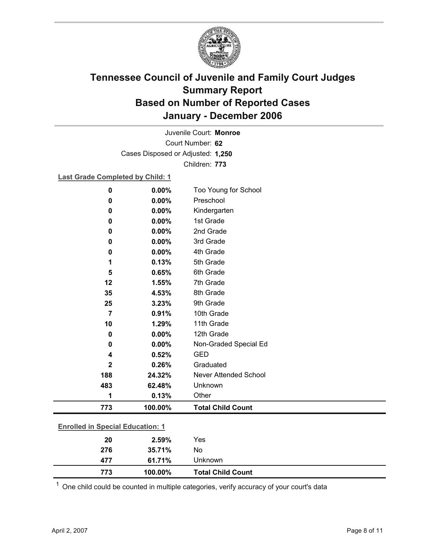

Court Number: **62** Juvenile Court: **Monroe** Cases Disposed or Adjusted: **1,250** Children: **773**

**Last Grade Completed by Child: 1**

| $\mathbf 0$                             | 0.00%   | Too Young for School     |
|-----------------------------------------|---------|--------------------------|
| 0                                       | 0.00%   | Preschool                |
| 0                                       | 0.00%   | Kindergarten             |
| $\mathbf 0$                             | 0.00%   | 1st Grade                |
| 0                                       | 0.00%   | 2nd Grade                |
| 0                                       | 0.00%   | 3rd Grade                |
| $\mathbf 0$                             | 0.00%   | 4th Grade                |
| 1                                       | 0.13%   | 5th Grade                |
| 5                                       | 0.65%   | 6th Grade                |
| 12                                      | 1.55%   | 7th Grade                |
| 35                                      | 4.53%   | 8th Grade                |
| 25                                      | 3.23%   | 9th Grade                |
| $\overline{7}$                          | 0.91%   | 10th Grade               |
| 10                                      | 1.29%   | 11th Grade               |
| $\mathbf 0$                             | 0.00%   | 12th Grade               |
| 0                                       | 0.00%   | Non-Graded Special Ed    |
| 4                                       | 0.52%   | <b>GED</b>               |
| $\mathbf 2$                             | 0.26%   | Graduated                |
| 188                                     | 24.32%  | Never Attended School    |
| 483                                     | 62.48%  | Unknown                  |
| 1                                       | 0.13%   | Other                    |
| 773                                     | 100.00% | <b>Total Child Count</b> |
| <b>Enrolled in Special Education: 1</b> |         |                          |
| 20                                      | 2.59%   | Yes                      |
| 276                                     | 35.71%  | No                       |
| 477                                     | 61.71%  | Unknown                  |

 $1$  One child could be counted in multiple categories, verify accuracy of your court's data

**773 100.00% Total Child Count**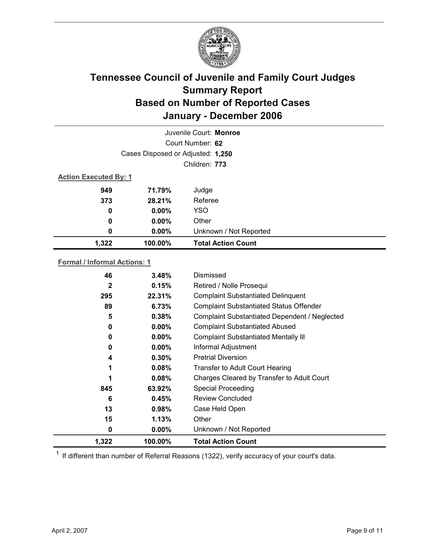

| Juvenile Court: Monroe            |          |                           |  |
|-----------------------------------|----------|---------------------------|--|
| Court Number: 62                  |          |                           |  |
| Cases Disposed or Adjusted: 1,250 |          |                           |  |
| Children: 773                     |          |                           |  |
| <b>Action Executed By: 1</b>      |          |                           |  |
| 949                               | 71.79%   | Judge                     |  |
| 373                               | 28.21%   | Referee                   |  |
| 0                                 | $0.00\%$ | <b>YSO</b>                |  |
| $\boldsymbol{0}$                  | $0.00\%$ | Other                     |  |
| 0                                 | $0.00\%$ | Unknown / Not Reported    |  |
| 1,322                             | 100.00%  | <b>Total Action Count</b> |  |

### **Formal / Informal Actions: 1**

| 46           | 3.48%    | Dismissed                                      |
|--------------|----------|------------------------------------------------|
| $\mathbf{2}$ | 0.15%    | Retired / Nolle Prosequi                       |
| 295          | 22.31%   | <b>Complaint Substantiated Delinquent</b>      |
| 89           | 6.73%    | <b>Complaint Substantiated Status Offender</b> |
| 5            | 0.38%    | Complaint Substantiated Dependent / Neglected  |
| 0            | $0.00\%$ | <b>Complaint Substantiated Abused</b>          |
| 0            | $0.00\%$ | <b>Complaint Substantiated Mentally III</b>    |
| 0            | $0.00\%$ | Informal Adjustment                            |
| 4            | $0.30\%$ | <b>Pretrial Diversion</b>                      |
|              | 0.08%    | Transfer to Adult Court Hearing                |
| 1            | 0.08%    | Charges Cleared by Transfer to Adult Court     |
| 845          | 63.92%   | <b>Special Proceeding</b>                      |
| 6            | 0.45%    | Review Concluded                               |
| 13           | $0.98\%$ | Case Held Open                                 |
| 15           | 1.13%    | Other                                          |
| 0            | $0.00\%$ | Unknown / Not Reported                         |
| 1,322        | 100.00%  | <b>Total Action Count</b>                      |

 $1$  If different than number of Referral Reasons (1322), verify accuracy of your court's data.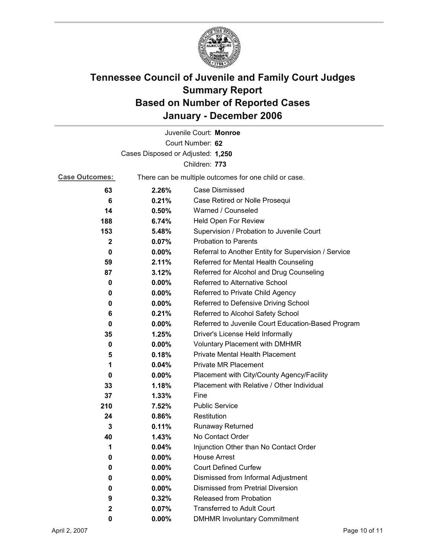

|                                   |          | Juvenile Court: Monroe                                |  |
|-----------------------------------|----------|-------------------------------------------------------|--|
|                                   |          | Court Number: 62                                      |  |
| Cases Disposed or Adjusted: 1,250 |          |                                                       |  |
|                                   |          | Children: 773                                         |  |
| <b>Case Outcomes:</b>             |          | There can be multiple outcomes for one child or case. |  |
| 63                                | 2.26%    | Case Dismissed                                        |  |
| 6                                 | 0.21%    | Case Retired or Nolle Prosequi                        |  |
| 14                                | 0.50%    | Warned / Counseled                                    |  |
| 188                               | 6.74%    | Held Open For Review                                  |  |
| 153                               | 5.48%    | Supervision / Probation to Juvenile Court             |  |
| $\mathbf{2}$                      | 0.07%    | <b>Probation to Parents</b>                           |  |
| 0                                 | $0.00\%$ | Referral to Another Entity for Supervision / Service  |  |
| 59                                | 2.11%    | Referred for Mental Health Counseling                 |  |
| 87                                | 3.12%    | Referred for Alcohol and Drug Counseling              |  |
| 0                                 | $0.00\%$ | Referred to Alternative School                        |  |
| 0                                 | $0.00\%$ | Referred to Private Child Agency                      |  |
| 0                                 | $0.00\%$ | Referred to Defensive Driving School                  |  |
| 6                                 | 0.21%    | Referred to Alcohol Safety School                     |  |
| 0                                 | $0.00\%$ | Referred to Juvenile Court Education-Based Program    |  |
| 35                                | 1.25%    | Driver's License Held Informally                      |  |
| 0                                 | $0.00\%$ | <b>Voluntary Placement with DMHMR</b>                 |  |
| 5                                 | 0.18%    | <b>Private Mental Health Placement</b>                |  |
| 1                                 | 0.04%    | <b>Private MR Placement</b>                           |  |
| 0                                 | $0.00\%$ | Placement with City/County Agency/Facility            |  |
| 33                                | 1.18%    | Placement with Relative / Other Individual            |  |
| 37                                | 1.33%    | Fine                                                  |  |
| 210                               | 7.52%    | <b>Public Service</b>                                 |  |
| 24                                | 0.86%    | Restitution                                           |  |
| 3                                 | 0.11%    | Runaway Returned                                      |  |
| 40                                | 1.43%    | No Contact Order                                      |  |
| 1                                 | 0.04%    | Injunction Other than No Contact Order                |  |
| 0                                 | 0.00%    | <b>House Arrest</b>                                   |  |
| 0                                 | $0.00\%$ | <b>Court Defined Curfew</b>                           |  |
| 0                                 | $0.00\%$ | Dismissed from Informal Adjustment                    |  |
| 0                                 | $0.00\%$ | <b>Dismissed from Pretrial Diversion</b>              |  |
| 9                                 | 0.32%    | Released from Probation                               |  |
| $\mathbf 2$                       | 0.07%    | <b>Transferred to Adult Court</b>                     |  |
| 0                                 | $0.00\%$ | <b>DMHMR Involuntary Commitment</b>                   |  |